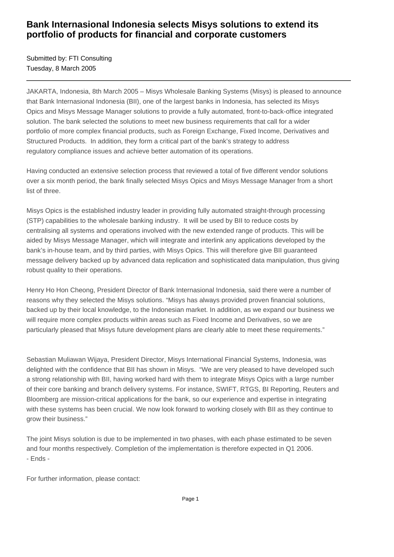## **Bank Internasional Indonesia selects Misys solutions to extend its portfolio of products for financial and corporate customers**

Submitted by: FTI Consulting Tuesday, 8 March 2005

JAKARTA, Indonesia, 8th March 2005 – Misys Wholesale Banking Systems (Misys) is pleased to announce that Bank Internasional Indonesia (BII), one of the largest banks in Indonesia, has selected its Misys Opics and Misys Message Manager solutions to provide a fully automated, front-to-back-office integrated solution. The bank selected the solutions to meet new business requirements that call for a wider portfolio of more complex financial products, such as Foreign Exchange, Fixed Income, Derivatives and Structured Products. In addition, they form a critical part of the bank's strategy to address regulatory compliance issues and achieve better automation of its operations.

Having conducted an extensive selection process that reviewed a total of five different vendor solutions over a six month period, the bank finally selected Misys Opics and Misys Message Manager from a short list of three.

Misys Opics is the established industry leader in providing fully automated straight-through processing (STP) capabilities to the wholesale banking industry. It will be used by BII to reduce costs by centralising all systems and operations involved with the new extended range of products. This will be aided by Misys Message Manager, which will integrate and interlink any applications developed by the bank's in-house team, and by third parties, with Misys Opics. This will therefore give BII guaranteed message delivery backed up by advanced data replication and sophisticated data manipulation, thus giving robust quality to their operations.

Henry Ho Hon Cheong, President Director of Bank Internasional Indonesia, said there were a number of reasons why they selected the Misys solutions. "Misys has always provided proven financial solutions, backed up by their local knowledge, to the Indonesian market. In addition, as we expand our business we will require more complex products within areas such as Fixed Income and Derivatives, so we are particularly pleased that Misys future development plans are clearly able to meet these requirements."

Sebastian Muliawan Wijaya, President Director, Misys International Financial Systems, Indonesia, was delighted with the confidence that BII has shown in Misys. "We are very pleased to have developed such a strong relationship with BII, having worked hard with them to integrate Misys Opics with a large number of their core banking and branch delivery systems. For instance, SWIFT, RTGS, BI Reporting, Reuters and Bloomberg are mission-critical applications for the bank, so our experience and expertise in integrating with these systems has been crucial. We now look forward to working closely with BII as they continue to grow their business."

The joint Misys solution is due to be implemented in two phases, with each phase estimated to be seven and four months respectively. Completion of the implementation is therefore expected in Q1 2006. - Ends -

For further information, please contact: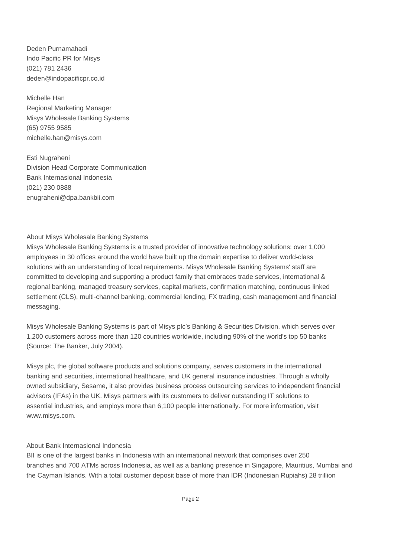Deden Purnamahadi Indo Pacific PR for Misys (021) 781 2436 deden@indopacificpr.co.id

Michelle Han Regional Marketing Manager Misys Wholesale Banking Systems (65) 9755 9585 michelle.han@misys.com 

Esti Nugraheni Division Head Corporate Communication Bank Internasional Indonesia (021) 230 0888 enugraheni@dpa.bankbii.com 

## About Misys Wholesale Banking Systems

Misys Wholesale Banking Systems is a trusted provider of innovative technology solutions: over 1,000 employees in 30 offices around the world have built up the domain expertise to deliver world-class solutions with an understanding of local requirements. Misys Wholesale Banking Systems' staff are committed to developing and supporting a product family that embraces trade services, international & regional banking, managed treasury services, capital markets, confirmation matching, continuous linked settlement (CLS), multi-channel banking, commercial lending, FX trading, cash management and financial messaging.

Misys Wholesale Banking Systems is part of Misys plc's Banking & Securities Division, which serves over 1,200 customers across more than 120 countries worldwide, including 90% of the world's top 50 banks (Source: The Banker, July 2004).

Misys plc, the global software products and solutions company, serves customers in the international banking and securities, international healthcare, and UK general insurance industries. Through a wholly owned subsidiary, Sesame, it also provides business process outsourcing services to independent financial advisors (IFAs) in the UK. Misys partners with its customers to deliver outstanding IT solutions to essential industries, and employs more than 6,100 people internationally. For more information, visit www.misys.com.

## About Bank Internasional Indonesia

BII is one of the largest banks in Indonesia with an international network that comprises over 250 branches and 700 ATMs across Indonesia, as well as a banking presence in Singapore, Mauritius, Mumbai and the Cayman Islands. With a total customer deposit base of more than IDR (Indonesian Rupiahs) 28 trillion